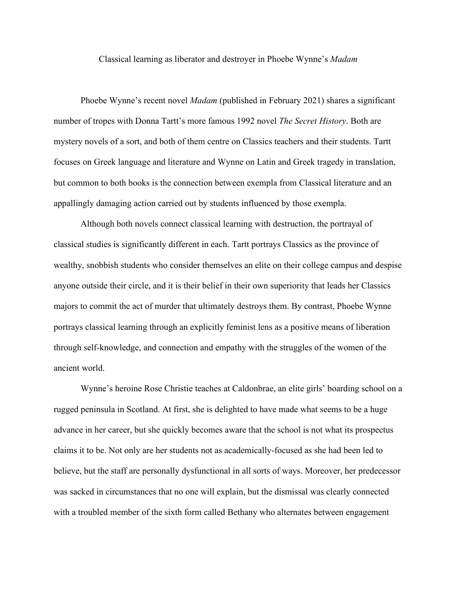Classical learning as liberator and destroyer in Phoebe Wynne's *Madam*

Phoebe Wynne's recent novel *Madam* (published in February 2021) shares a significant number of tropes with Donna Tartt's more famous 1992 novel *The Secret History*. Both are mystery novels of a sort, and both of them centre on Classics teachers and their students. Tartt focuses on Greek language and literature and Wynne on Latin and Greek tragedy in translation, but common to both books is the connection between exempla from Classical literature and an appallingly damaging action carried out by students influenced by those exempla.

Although both novels connect classical learning with destruction, the portrayal of classical studies is significantly different in each. Tartt portrays Classics as the province of wealthy, snobbish students who consider themselves an elite on their college campus and despise anyone outside their circle, and it is their belief in their own superiority that leads her Classics majors to commit the act of murder that ultimately destroys them. By contrast, Phoebe Wynne portrays classical learning through an explicitly feminist lens as a positive means of liberation through self-knowledge, and connection and empathy with the struggles of the women of the ancient world.

Wynne's heroine Rose Christie teaches at Caldonbrae, an elite girls' boarding school on a rugged peninsula in Scotland. At first, she is delighted to have made what seems to be a huge advance in her career, but she quickly becomes aware that the school is not what its prospectus claims it to be. Not only are her students not as academically-focused as she had been led to believe, but the staff are personally dysfunctional in all sorts of ways. Moreover, her predecessor was sacked in circumstances that no one will explain, but the dismissal was clearly connected with a troubled member of the sixth form called Bethany who alternates between engagement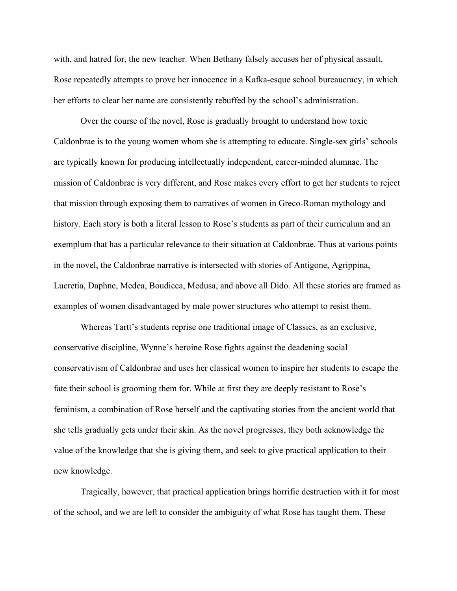with, and hatred for, the new teacher. When Bethany falsely accuses her of physical assault, Rose repeatedly attempts to prove her innocence in a Kafka-esque school bureaucracy, in which her efforts to clear her name are consistently rebuffed by the school's administration.

Over the course of the novel, Rose is gradually brought to understand how toxic Caldonbrae is to the young women whom she is attempting to educate. Single-sex girls' schools are typically known for producing intellectually independent, career-minded alumnae. The mission of Caldonbrae is very different, and Rose makes every effort to get her students to reject that mission through exposing them to narratives of women in Greco-Roman mythology and history. Each story is both a literal lesson to Rose's students as part of their curriculum and an exemplum that has a particular relevance to their situation at Caldonbrae. Thus at various points in the novel, the Caldonbrae narrative is intersected with stories of Antigone, Agrippina, Lucretia, Daphne, Medea, Boudicca, Medusa, and above all Dido. All these stories are framed as examples of women disadvantaged by male power structures who attempt to resist them.

Whereas Tartt's students reprise one traditional image of Classics, as an exclusive, conservative discipline, Wynne's heroine Rose fights against the deadening social conservativism of Caldonbrae and uses her classical women to inspire her students to escape the fate their school is grooming them for. While at first they are deeply resistant to Rose's feminism, a combination of Rose herself and the captivating stories from the ancient world that she tells gradually gets under their skin. As the novel progresses, they both acknowledge the value of the knowledge that she is giving them, and seek to give practical application to their new knowledge.

Tragically, however, that practical application brings horrific destruction with it for most of the school, and we are left to consider the ambiguity of what Rose has taught them. These